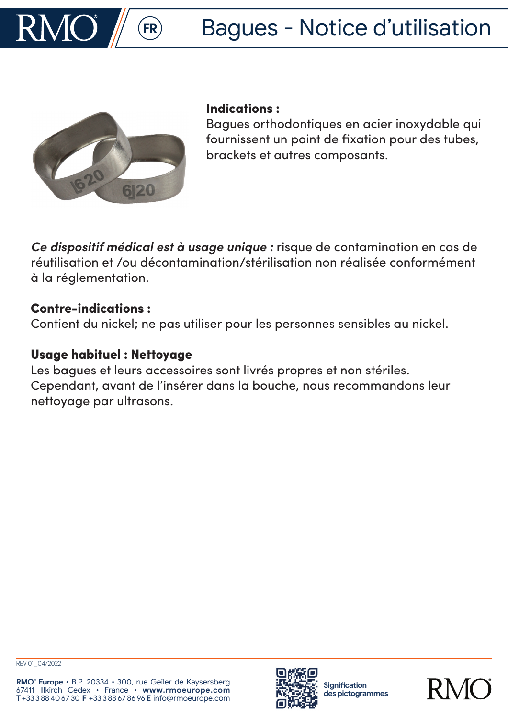



### Indications :

Bagues orthodontiques en acier inoxydable qui fournissent un point de fixation pour des tubes, brackets et autres composants.

*Ce dispositif médical est à usage unique :* risque de contamination en cas de réutilisation et /ou décontamination/stérilisation non réalisée conformément à la réglementation.

## Contre-indications :

Contient du nickel; ne pas utiliser pour les personnes sensibles au nickel.

# Usage habituel : Nettoyage

Les bagues et leurs accessoires sont livrés propres et non stériles. Cependant, avant de l'insérer dans la bouche, nous recommandons leur nettoyage par ultrasons.



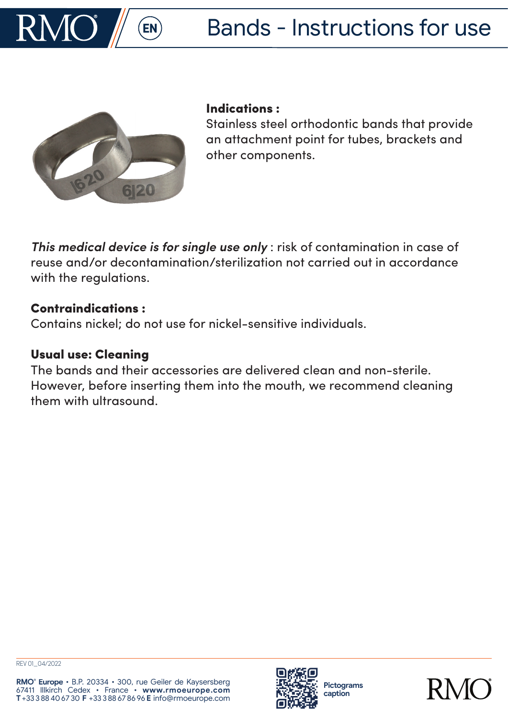



### Indications :

Stainless steel orthodontic bands that provide an attachment point for tubes, brackets and other components.

*This medical device is for single use only* : risk of contamination in case of reuse and/or decontamination/sterilization not carried out in accordance with the regulations.

## Contraindications :

Contains nickel; do not use for nickel-sensitive individuals.

## Usual use: Cleaning

The bands and their accessories are delivered clean and non-sterile. However, before inserting them into the mouth, we recommend cleaning them with ultrasound.



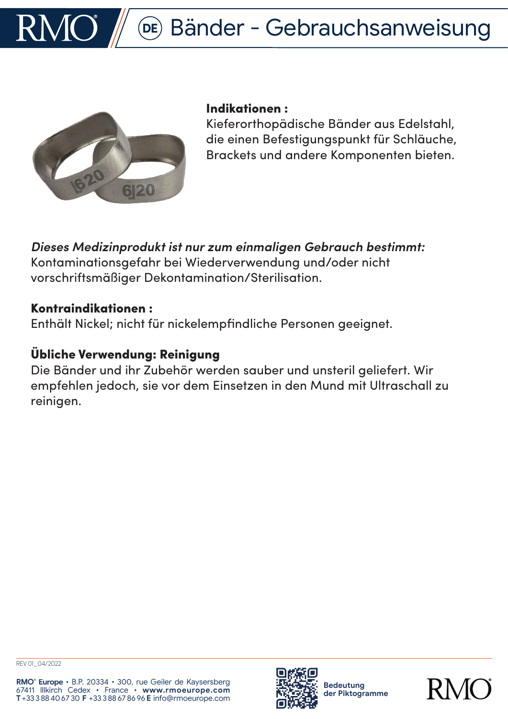



#### Indikationen :

Kieferorthopädische Bänder aus Edelstahl, die einen Befestigungspunkt für Schläuche, Brackets und andere Komponenten bieten.

*Dieses Medizinprodukt ist nur zum einmaligen Gebrauch bestimmt:*  Kontaminationsgefahr bei Wiederverwendung und/oder nicht vorschriftsmäßiger Dekontamination/Sterilisation.

## Kontraindikationen :

Enthält Nickel; nicht für nickelempfindliche Personen geeignet.

# Übliche Verwendung: Reinigung

Die Bänder und ihr Zubehör werden sauber und unsteril geliefert. Wir empfehlen jedoch, sie vor dem Einsetzen in den Mund mit Ultraschall zu reinigen.



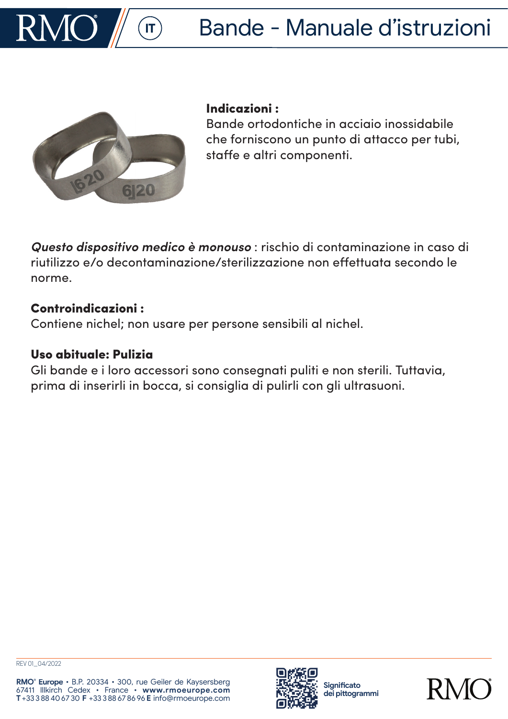



### Indicazioni :

Bande ortodontiche in acciaio inossidabile che forniscono un punto di attacco per tubi, staffe e altri componenti.

*Questo dispositivo medico è monouso* : rischio di contaminazione in caso di riutilizzo e/o decontaminazione/sterilizzazione non effettuata secondo le norme.

## Controindicazioni :

Contiene nichel; non usare per persone sensibili al nichel.

# Uso abituale: Pulizia

Gli bande e i loro accessori sono consegnati puliti e non sterili. Tuttavia, prima di inserirli in bocca, si consiglia di pulirli con gli ultrasuoni.